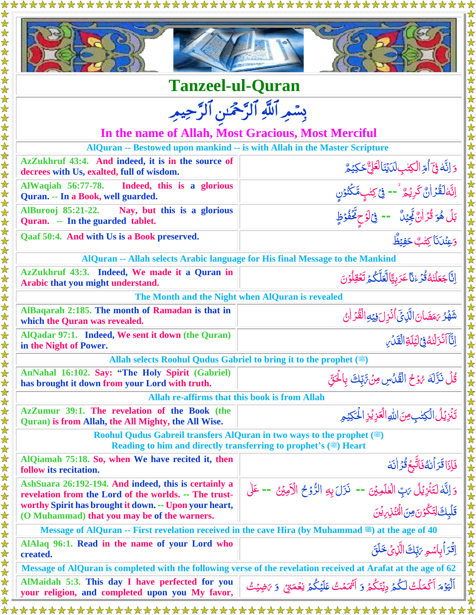| <b>Tanzeel-ul-Quran</b>                                                                                                                 |                                                                                                                |  |
|-----------------------------------------------------------------------------------------------------------------------------------------|----------------------------------------------------------------------------------------------------------------|--|
| بِسْمِرِ ٱللَّهِ ٱلرَّحْمَٰنِ ٱلرَّحِيمِ                                                                                                |                                                                                                                |  |
|                                                                                                                                         |                                                                                                                |  |
|                                                                                                                                         | In the name of Allah, Most Gracious, Most Merciful                                                             |  |
| AlQuran -- Bestowed upon mankind -- is with Allah in the Master Scripture<br>AzZukhruf 43:4. And indeed, it is in the source of         |                                                                                                                |  |
| decrees with Us, exalted, full of wisdom.                                                                                               | 5 اِنَّهُ فِيَٓ أُمِّ الْكِتْبِ لَدَيْنَالَعَلِّ حَكِيْمٌ                                                      |  |
| <b>AlWaqiah 56:77-78.</b><br>Indeed, this is a glorious<br>Quran. -- In a Book, well guarded.                                           |                                                                                                                |  |
| AlBurooj 85:21-22. Nay, but this is a glorious<br>Quran. -- In the guarded tablet.                                                      | اِنَّهَٰلَقُّرۡ!نَّ كَرِيۡمٌ ۚ -- فِیۡ كِتٰبٍمَّكۡنُوۡنٍ<br>بَلۡ هُوَ قُرۡ!نٌ جِّیۡنٌ   -- فِیۡلَاحِ عَّفُوۡظٍ |  |
| Qaaf 50:4. And with Us is a Book preserved.                                                                                             | وَعِنْدَنَا كِتْبٌ حَفِيْظٌ                                                                                    |  |
|                                                                                                                                         | AlQuran -- Allah selects Arabic language for His final Message to the Mankind                                  |  |
| AzZukhruf 43:3. Indeed, We made it a Quran in<br>Arabic that you might understand.                                                      | اِنَّاجَعَلۡنٰهُ قُرۡءٰنَّاعَرَبِيًّالَّعَلَّكُمۡ تَعۡقِلُوۡنَ                                                 |  |
| The Month and the Night when AlQuran is revealed                                                                                        |                                                                                                                |  |
| AlBaqarah 2:185. The month of Ramadan is that in<br>which the Quran was revealed.                                                       | شَّهُرُ بَمَضَانَ الَّذِيِّ أُنْزِلَ فِيَهِ الْقُرْ أَنْ                                                       |  |
| AlQadar 97:1. Indeed, We sent it down (the Quran)<br>in the Night of Power.                                                             | الثَّاَأَنْزَلَٰنُهُ فِيَ لِيَكَةِ الْقَدْيِ                                                                   |  |
| Allah selects Roohul Qudus Gabriel to bring it to the prophet ()                                                                        |                                                                                                                |  |
| AnNahal 16:102. Say: "The Holy Spirit (Gabriel)<br>has brought it down from your Lord with truth.                                       | قُلُ نَزَّلَهُ هُوۡعُ الۡقُلُاسِ مِنۡ تَّٰلِكَ بِالۡحَقِّ                                                      |  |
| Allah re-affirms that this book is from Allah                                                                                           |                                                                                                                |  |
| AzZumur 39:1. The revelation of the Book (the<br>Quran) is from Allah, the All Mighty, the All Wise.                                    | تَنُزِيُلُ الْكِتٰبِ مِنَ اللَّهِ الْعَزِيُزِ الْحَكِيَمِ                                                      |  |
| Roohul Qudus Gabreil transfers AlQuran in two ways to the prophet ()<br>Reading to him and directly transferring to prophet's (.) Heart |                                                                                                                |  |
| AlQiamah 75:18. So, when We have recited it, then<br>follow its recitation.                                                             | فَإِذَا قَرَأَنْهُ فَاتَّبِعَ قُرَ أَنَهُ                                                                      |  |
| AshSuara 26:192-194. And indeed, this is certainly a<br>revelation from the Lord of the worlds. -- The trust-                           | وَ إِنَّهُ لَتَنْزِيُلُ يَبِّ الْعُلَمِيْنَ -- نَزَلَ بِهِ الرُّوْحُ الْأَمِيْنُ -- عَلَى                      |  |
| worthy Spirit has brought it down. -- Upon your heart,<br>(O Muhammad) that you may be of the warners.                                  | قَلْبِكَ لِتَكُوُنَ مِنَ الْمُنْزِينِ يُنَ                                                                     |  |
| Message of AlQuran -- First revelation received in the cave Hira (by Muhammad .) at the age of 40                                       |                                                                                                                |  |
| AlAlaq 96:1. Read in the name of your Lord who<br>created.                                                                              | اِقْرَأْبِاسُمِ يَبِّكَ الَّذِيْ خَلَقَ                                                                        |  |
| Message of AlQuran is completed with the following verse of the revelation received at Arafat at the age of 62                          |                                                                                                                |  |
| AlMaidah 5:3. This day I have perfected for you<br>your religion, and completed upon you My favor,                                      | ٱلۡيَوۡمَ ٱكۡمَلۡتُ لَكُمۡ دِيۡنَكُمۡ وَ ٱثۡمَمۡتُ عَلَيۡكُمۡ نِعۡمَتِیۡ ۚ وَ ﴾َضِيۡتُ                         |  |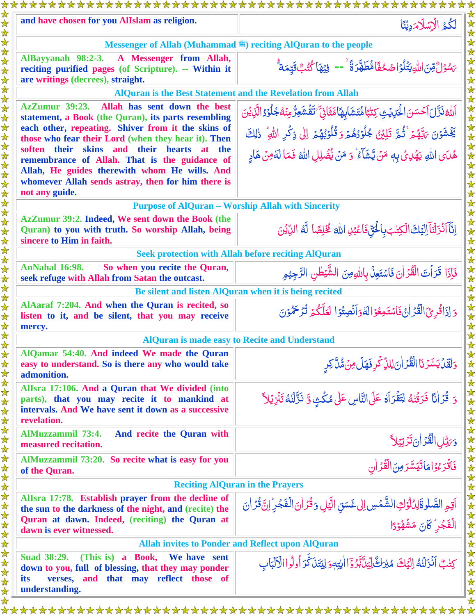| and have chosen for you AlIslam as religion.                                                                                                                                                                                                                                                                                                                                                                                                      | ة    لكُمُ الْإِسْلَامَدِيْنَا                                                                                                                                                                                                                                                                                   |  |
|---------------------------------------------------------------------------------------------------------------------------------------------------------------------------------------------------------------------------------------------------------------------------------------------------------------------------------------------------------------------------------------------------------------------------------------------------|------------------------------------------------------------------------------------------------------------------------------------------------------------------------------------------------------------------------------------------------------------------------------------------------------------------|--|
| Messenger of Allah (Muhammad .) reciting AlQuran to the people                                                                                                                                                                                                                                                                                                                                                                                    |                                                                                                                                                                                                                                                                                                                  |  |
| AlBayyanah 98:2-3.<br>A Messenger from Allah,<br>reciting purified pages (of Scripture). -- Within it<br>are writings (decrees), straight.                                                                                                                                                                                                                                                                                                        | جَسُوۡلَّ مِّنَ اللَّهِ يَتَٰلُوۡ اصْحُفَّاۤ مُّطَهَّرَةً ۚ -- فِيۡهَا كُتُبٌ قَيِّمَةٌ                                                                                                                                                                                                                          |  |
| <b>AlQuran is the Best Statement and the Revelation from Allah</b>                                                                                                                                                                                                                                                                                                                                                                                |                                                                                                                                                                                                                                                                                                                  |  |
| Allah has sent down the best<br><b>AzZumur</b> 39:23.<br>statement, a Book (the Quran), its parts resembling<br>each other, repeating. Shiver from it the skins of<br>those who fear their Lord (when they hear it). Then<br>soften their skins and their hearts at the<br>remembrance of Allah. That is the guidance of<br>Allah, He guides therewith whom He wills. And<br>whomever Allah sends astray, then for him there is<br>not any guide. | ٱللَّهْ نَزَّلَ ٱحۡسَنَ الۡحَالِمَٰنِى كِتَٰبَاۚ مُّتَشَابِهَاۢ مَّثَانِيٓ ۚ تَقۡشَعِرُّ مِنۡهُ جُلُوۡدُ الَّذِيۡنَ<br>يَخْشَوْنَ يَهْهُمْ ثُمَّ تَلِيْنُ جُلُوۡدُهُمۡ وَقُلُوۡبُهُمۡ إِلَىٰ ذِكۡرِ اللَّهِ ۚ ذَٰلِكَ<br>هُدَى اللهِ يَهْدِيُ بِهِ مَنْ يَّشَأَءُ ۙ وَ مَنْ يُّفْلِلِ اللهُ فَمَا لَةَمِنْ هَادِ |  |
| <b>Purpose of AlQuran – Worship Allah with Sincerity</b>                                                                                                                                                                                                                                                                                                                                                                                          |                                                                                                                                                                                                                                                                                                                  |  |
| AzZumur 39:2. Indeed, We sent down the Book (the<br>Quran) to you with truth. So worship Allah, being<br>sincere to Him in faith.                                                                                                                                                                                                                                                                                                                 | إِنَّآَ لَزَلْنَآَ إِلَيْكَ الْكِتٰبَ بِالْحُقِّ فَاعْبُلِ اللَّهَ كُلِّطًا لَّهُ الدِّيْنَ                                                                                                                                                                                                                      |  |
|                                                                                                                                                                                                                                                                                                                                                                                                                                                   | <b>Seek protection with Allah before reciting AlQuran</b>                                                                                                                                                                                                                                                        |  |
| <b>AnNahal 16:98.</b><br>So when you recite the Quran,<br>seek refuge with Allah from Satan the outcast.                                                                                                                                                                                                                                                                                                                                          | فَإِذَا قَرَأْتَ الْقُرْاٰنَ فَاسْتَعِنّْ بِاللَّهِصِنَ الشَّيْطُنِ الرَّجِيْمِ                                                                                                                                                                                                                                  |  |
|                                                                                                                                                                                                                                                                                                                                                                                                                                                   | Be silent and listen AlQuran when it is being recited                                                                                                                                                                                                                                                            |  |
| AlAaraf 7:204. And when the Quran is recited, so<br>listen to it, and be silent, that you may receive<br>mercy.                                                                                                                                                                                                                                                                                                                                   | وَ إِذَاقُرِئَ الْقُرْ إِنْ فَاسْتَمِعُوۡ الۡذَوَانَصِتُوۡ الۡقَلَّكُمۡ تُرۡمَحُمُّوۡنَ                                                                                                                                                                                                                          |  |
| <b>AlQuran is made easy to Recite and Understand</b>                                                                                                                                                                                                                                                                                                                                                                                              |                                                                                                                                                                                                                                                                                                                  |  |
| AlQamar 54:40. And indeed We made the Quran<br>easy to understand. So is there any who would take<br>admonition.                                                                                                                                                                                                                                                                                                                                  | وَلَقَلۡ يَسَّرۡنَا الۡقُرَٰ اٰنَ لِلَّا ِّكۡرِ فَهَلۡ مِنۡ مُّلَّ كِرِ                                                                                                                                                                                                                                          |  |
| Allsra 17:106. And a Quran that We divided (into<br>parts), that you may recite it to mankind at<br>intervals. And We have sent it down as a successive<br>revelation.                                                                                                                                                                                                                                                                            | وَ قُرَانًا فَرَقَنْهُ لِتَقْرَاهُ عَلَى النَّاسِ عَلَى مُكَثِ وَ نَزَّلْنَهُ تَنْزِيُلاً                                                                                                                                                                                                                        |  |
| <b>AlMuzzammil 73:4.</b><br>And recite the Quran with<br>measured recitation.                                                                                                                                                                                                                                                                                                                                                                     | حَرَّتِّلِ الْقُرۡ اٰنَ تَرۡتِیۡلاَّ<br> <br>  فَاقۡرَءُوۡاهَاتَیَسَّرَمِنَ الۡقُرَٰ اٰنِ                                                                                                                                                                                                                        |  |
| AlMuzzammil 73:20. So recite what is easy for you<br>of the Quran.                                                                                                                                                                                                                                                                                                                                                                                |                                                                                                                                                                                                                                                                                                                  |  |
| <b>Reciting AlQuran in the Prayers</b>                                                                                                                                                                                                                                                                                                                                                                                                            |                                                                                                                                                                                                                                                                                                                  |  |
| Allsra 17:78. Establish prayer from the decline of<br>the sun to the darkness of the night, and (recite) the<br>Quran at dawn. Indeed, (reciting) the Quran at<br>dawn is ever witnessed.                                                                                                                                                                                                                                                         | أَقِمِ الصَّلْوةَلِدُلُوَكِ الشَّمْسِ إِلٰى غَسَقِ الَّيْلِ وَقُرَٰ أَنَ الْفَجَرِ ۚ إِنَّ قُرَٰ أَنَ<br>الْفَجُر كَانَ مَشْهُوُدًا                                                                                                                                                                              |  |
| <b>Allah invites to Ponder and Reflect upon AlQuran</b>                                                                                                                                                                                                                                                                                                                                                                                           |                                                                                                                                                                                                                                                                                                                  |  |
| <b>Suad 38:29.</b><br>(This is) a Book,<br>We have sent<br>down to you, full of blessing, that they may ponder<br>verses, and that may reflect those of<br>its<br>understanding.                                                                                                                                                                                                                                                                  | كِتْبٌ أَنْزَلْنَهُ إِلَيْكَ مُبْرَكٌّ لِيَدَّبَّرُوْٓا الِّتِهِ وَلِيَتَنَ كَّرَ أُولُوا الْأَلْبَاب                                                                                                                                                                                                            |  |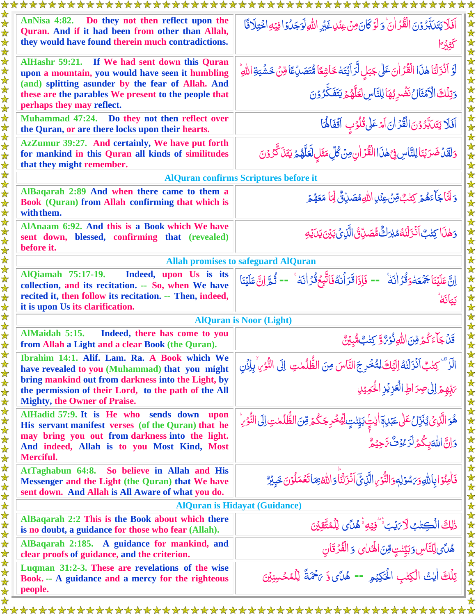| AnNisa 4:82. Do they not then reflect upon the<br>Quran. And if it had been from other than Allah,<br>they would have found therein much contradictions.<br>كَثِيْرَا<br>AlHashr 59:21. If We had sent down this Quran<br>لَوۡ اَذۡزَلۡنَا هٰذَا الۡقُدۡرَانَ عَلٰى جَبَلٍ لَّرَ اَيۡتَهٗ خَاشِعًا مُّتَصَدِّعًا قِنۡ خَشۡيَةِ اللهِ<br>upon a mountain, you would have seen it humbling<br>(and) splitting asunder by the fear of Allah. And<br>these are the parables We present to the people that<br>perhaps they may reflect.<br>Muhammad 47:24. Do they not then reflect over<br>the Quran, or are there locks upon their hearts.<br>AzZumur 39:27. And certainly, We have put forth<br>for mankind in this Quran all kinds of similitudes<br>that they might remember.<br><b>AlQuran confirms Scriptures before it</b><br>AlBaqarah 2:89 And when there came to them a<br>Book (Quran) from Allah confirming that which is<br>with them.<br>AlAnaam 6:92. And this is a Book which We have<br>sent down, blessed, confirming that (revealed)<br>before it.<br><b>Allah promises to safeguard AlQuran</b><br>AlQiamah 75:17-19. Indeed, upon Us is its<br>collection, and its recitation. -- So, when We have<br>recited it, then follow its recitation. -- Then, indeed,<br>it is upon Us its clarification.<br><b>AlQuran is Noor (Light)</b><br>AlMaidah 5:15.<br>Indeed, there has come to you<br>قَلْبَاءَكُمْ مِّنَ اللَّهِ نُوۡرٌوَّ كِتَٰبٌ مُّبِيۡنٌ<br>from Allah a Light and a clear Book (the Quran).<br>Ibrahim 14:1. Alif. Lam. Ra. A Book which We<br>الَّرَّ "كِتْبٌ أَنْزَلْنُهُ إِلَيْكَ لِتُخْرِجَ النَّاسَ مِنَ الظُّلُمٰتِ إِلَى النُّوْرِ، ۚ بِإِذْن<br>have revealed to you (Muhammad) that you might<br>bring mankind out from darkness into the Light, by<br>the permission of their Lord, to the path of the All<br><b>Mighty, the Owner of Praise.</b><br>AlHadid 57:9. It is He who sends down upon<br>His servant manifest verses (of the Quran) that he<br>may bring you out from darkness into the light.<br>And indeed, Allah is to you Most Kind, Most<br>Merciful. | *********************<br>******************** |                                                                                                                             |  |
|------------------------------------------------------------------------------------------------------------------------------------------------------------------------------------------------------------------------------------------------------------------------------------------------------------------------------------------------------------------------------------------------------------------------------------------------------------------------------------------------------------------------------------------------------------------------------------------------------------------------------------------------------------------------------------------------------------------------------------------------------------------------------------------------------------------------------------------------------------------------------------------------------------------------------------------------------------------------------------------------------------------------------------------------------------------------------------------------------------------------------------------------------------------------------------------------------------------------------------------------------------------------------------------------------------------------------------------------------------------------------------------------------------------------------------------------------------------------------------------------------------------------------------------------------------------------------------------------------------------------------------------------------------------------------------------------------------------------------------------------------------------------------------------------------------------------------------------------------------------------------------------------------------------------------------------------------------------------------------------------------------------------------------------------------------------------------------------------------------|-----------------------------------------------|-----------------------------------------------------------------------------------------------------------------------------|--|
|                                                                                                                                                                                                                                                                                                                                                                                                                                                                                                                                                                                                                                                                                                                                                                                                                                                                                                                                                                                                                                                                                                                                                                                                                                                                                                                                                                                                                                                                                                                                                                                                                                                                                                                                                                                                                                                                                                                                                                                                                                                                                                            |                                               | أَفَلَا يَتَدَبَّرُوْنَ الْقُرْ أَنَ ۚ وَلَوۡ كَانَ مِنۡ عِنۡلِ غَيۡرِ اللَّهِ لَوَجَلُوۡ افِيۡهِ اخۡتِلَافَا               |  |
|                                                                                                                                                                                                                                                                                                                                                                                                                                                                                                                                                                                                                                                                                                                                                                                                                                                                                                                                                                                                                                                                                                                                                                                                                                                                                                                                                                                                                                                                                                                                                                                                                                                                                                                                                                                                                                                                                                                                                                                                                                                                                                            |                                               |                                                                                                                             |  |
|                                                                                                                                                                                                                                                                                                                                                                                                                                                                                                                                                                                                                                                                                                                                                                                                                                                                                                                                                                                                                                                                                                                                                                                                                                                                                                                                                                                                                                                                                                                                                                                                                                                                                                                                                                                                                                                                                                                                                                                                                                                                                                            |                                               | وَتِلۡكَ الۡكَمۡثَالُ نَضۡرِبُهَا لِلنَّاسِ لَعَلَّهُمۡ يَتَفَكَّرُوۡنَ                                                     |  |
|                                                                                                                                                                                                                                                                                                                                                                                                                                                                                                                                                                                                                                                                                                                                                                                                                                                                                                                                                                                                                                                                                                                                                                                                                                                                                                                                                                                                                                                                                                                                                                                                                                                                                                                                                                                                                                                                                                                                                                                                                                                                                                            |                                               | اَفَلَا يَتَلَبَّرُوْنَ الْقُرَٰانَ اَمَّ عَلٰى قُلُوْبٍ اَقْفَالُهَا                                                       |  |
|                                                                                                                                                                                                                                                                                                                                                                                                                                                                                                                                                                                                                                                                                                                                                                                                                                                                                                                                                                                                                                                                                                                                                                                                                                                                                                                                                                                                                                                                                                                                                                                                                                                                                                                                                                                                                                                                                                                                                                                                                                                                                                            |                                               | وَلَقَدْ ضَرَبْنَا لِلنَّاسِ فِيَهٰذَا الْقُرَ أَنِ مِنْ كُلِّ مَثَلِ لَّعَلَّهُمْ يَتَذَكَّرُوْنَ                          |  |
|                                                                                                                                                                                                                                                                                                                                                                                                                                                                                                                                                                                                                                                                                                                                                                                                                                                                                                                                                                                                                                                                                                                                                                                                                                                                                                                                                                                                                                                                                                                                                                                                                                                                                                                                                                                                                                                                                                                                                                                                                                                                                                            |                                               |                                                                                                                             |  |
|                                                                                                                                                                                                                                                                                                                                                                                                                                                                                                                                                                                                                                                                                                                                                                                                                                                                                                                                                                                                                                                                                                                                                                                                                                                                                                                                                                                                                                                                                                                                                                                                                                                                                                                                                                                                                                                                                                                                                                                                                                                                                                            |                                               | وَ لَمَّا جَاْءَهُمۡ كِتَٰبٌ مِّنۡ عِنۡلِ اللَّهِ مُصَلِّقٌ لِّمَا مَعَهُمۡ رَ                                              |  |
|                                                                                                                                                                                                                                                                                                                                                                                                                                                                                                                                                                                                                                                                                                                                                                                                                                                                                                                                                                                                                                                                                                                                                                                                                                                                                                                                                                                                                                                                                                                                                                                                                                                                                                                                                                                                                                                                                                                                                                                                                                                                                                            |                                               | وَهٰذَا كِتٰبٌ أَنْزَلْنُهُمْبُرَكٌ مُّصَدِّقُ الَّذِي يَبْنَ يَكِنَّهِ                                                     |  |
|                                                                                                                                                                                                                                                                                                                                                                                                                                                                                                                                                                                                                                                                                                                                                                                                                                                                                                                                                                                                                                                                                                                                                                                                                                                                                                                                                                                                                                                                                                                                                                                                                                                                                                                                                                                                                                                                                                                                                                                                                                                                                                            |                                               |                                                                                                                             |  |
|                                                                                                                                                                                                                                                                                                                                                                                                                                                                                                                                                                                                                                                                                                                                                                                                                                                                                                                                                                                                                                                                                                                                                                                                                                                                                                                                                                                                                                                                                                                                                                                                                                                                                                                                                                                                                                                                                                                                                                                                                                                                                                            |                                               | اِنَّ عَلَيْنَا جَمُعَهُوَقُرُ اٰنَهُ ۚ -- فَإِذَا قَرَأَنهُ فَاتَّبِعُ قُرَ اٰنَهُ ۚ -- ثُمَّ اِنَّ عَلَيْنَا<br>بَيَانَهُ |  |
|                                                                                                                                                                                                                                                                                                                                                                                                                                                                                                                                                                                                                                                                                                                                                                                                                                                                                                                                                                                                                                                                                                                                                                                                                                                                                                                                                                                                                                                                                                                                                                                                                                                                                                                                                                                                                                                                                                                                                                                                                                                                                                            |                                               |                                                                                                                             |  |
|                                                                                                                                                                                                                                                                                                                                                                                                                                                                                                                                                                                                                                                                                                                                                                                                                                                                                                                                                                                                                                                                                                                                                                                                                                                                                                                                                                                                                                                                                                                                                                                                                                                                                                                                                                                                                                                                                                                                                                                                                                                                                                            |                                               |                                                                                                                             |  |
|                                                                                                                                                                                                                                                                                                                                                                                                                                                                                                                                                                                                                                                                                                                                                                                                                                                                                                                                                                                                                                                                                                                                                                                                                                                                                                                                                                                                                                                                                                                                                                                                                                                                                                                                                                                                                                                                                                                                                                                                                                                                                                            |                                               |                                                                                                                             |  |
|                                                                                                                                                                                                                                                                                                                                                                                                                                                                                                                                                                                                                                                                                                                                                                                                                                                                                                                                                                                                                                                                                                                                                                                                                                                                                                                                                                                                                                                                                                                                                                                                                                                                                                                                                                                                                                                                                                                                                                                                                                                                                                            |                                               |                                                                                                                             |  |
|                                                                                                                                                                                                                                                                                                                                                                                                                                                                                                                                                                                                                                                                                                                                                                                                                                                                                                                                                                                                                                                                                                                                                                                                                                                                                                                                                                                                                                                                                                                                                                                                                                                                                                                                                                                                                                                                                                                                                                                                                                                                                                            |                                               | يَبْهِمُ إِلَى صِرَاطِ الْعَزِيْزِ الْحَمِيْلِ                                                                              |  |
|                                                                                                                                                                                                                                                                                                                                                                                                                                                                                                                                                                                                                                                                                                                                                                                                                                                                                                                                                                                                                                                                                                                                                                                                                                                                                                                                                                                                                                                                                                                                                                                                                                                                                                                                                                                                                                                                                                                                                                                                                                                                                                            |                                               | ۿؘۅؘالَّذِي يُنَزِّلُ عَلَى عَبۡلِهٖٓالِّتِ بَيِّنۡتٍ لِيُّخۡرِ جَكُمۡ مِّنَ الظُّلُمٰتِ إِلَى النُّوۡرِ                    |  |
|                                                                                                                                                                                                                                                                                                                                                                                                                                                                                                                                                                                                                                                                                                                                                                                                                                                                                                                                                                                                                                                                                                                                                                                                                                                                                                                                                                                                                                                                                                                                                                                                                                                                                                                                                                                                                                                                                                                                                                                                                                                                                                            |                                               | وَانَّ اللَّهَ بِكُمۡ لَرَّ وُوْتٌ مَّ حِيۡهُ                                                                               |  |
| AtTaghabun 64:8. So believe in Allah and His<br>Messenger and the Light (the Quran) that We have<br>sent down. And Allah is All Aware of what you do.                                                                                                                                                                                                                                                                                                                                                                                                                                                                                                                                                                                                                                                                                                                                                                                                                                                                                                                                                                                                                                                                                                                                                                                                                                                                                                                                                                                                                                                                                                                                                                                                                                                                                                                                                                                                                                                                                                                                                      |                                               | فَأُمِنُوْا بِاللَّهِ وَيَسْوَلِهِ وَالنُّوْيِ الَّذِيِّ أَنْزَلْنَا وَاللَّهُ بِمَا تَعْمَلُوْنَ جَبِبْرٌ                  |  |
| <b>AlQuran is Hidayat (Guidance)</b>                                                                                                                                                                                                                                                                                                                                                                                                                                                                                                                                                                                                                                                                                                                                                                                                                                                                                                                                                                                                                                                                                                                                                                                                                                                                                                                                                                                                                                                                                                                                                                                                                                                                                                                                                                                                                                                                                                                                                                                                                                                                       |                                               |                                                                                                                             |  |
| AlBaqarah 2:2 This is the Book about which there<br>is no doubt, a guidance for those who fear (Allah).                                                                                                                                                                                                                                                                                                                                                                                                                                                                                                                                                                                                                                                                                                                                                                                                                                                                                                                                                                                                                                                                                                                                                                                                                                                                                                                                                                                                                                                                                                                                                                                                                                                                                                                                                                                                                                                                                                                                                                                                    |                                               | ذٰلِكَ الْكِتْبُ لَا رَيْبَ ۚ ۖ فِيْهِ ۚ هُلَّى لِلْمُتَّقِينَ                                                              |  |
| هُلَّى لِّلنَّاسِ وَبَيِّنْتٍ مِّنَ الْهُمَّايِ وَ الْفُرْقَانِ<br>AlBaqarah 2:185. A guidance for mankind, and<br>clear proofs of guidance, and the criterion.                                                                                                                                                                                                                                                                                                                                                                                                                                                                                                                                                                                                                                                                                                                                                                                                                                                                                                                                                                                                                                                                                                                                                                                                                                                                                                                                                                                                                                                                                                                                                                                                                                                                                                                                                                                                                                                                                                                                            |                                               |                                                                                                                             |  |
| Luqman 31:2-3. These are revelations of the wise<br>Book. -- A guidance and a mercy for the righteous<br>people.                                                                                                                                                                                                                                                                                                                                                                                                                                                                                                                                                                                                                                                                                                                                                                                                                                                                                                                                                                                                                                                                                                                                                                                                                                                                                                                                                                                                                                                                                                                                                                                                                                                                                                                                                                                                                                                                                                                                                                                           |                                               | تِلْكَ اٰيٰتُ الْكِتٰبِ الْحَكِيْمِ -- هُدَّى وَّ يَحْمَةَ لِلْمُحْسِنِيْنَ                                                 |  |